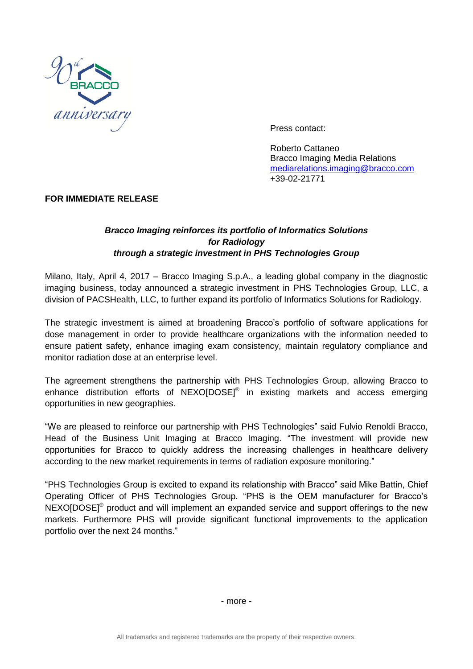

Press contact:

Roberto Cattaneo Bracco Imaging Media Relations [mediarelations.imaging@bracco.com](mailto:mediarelations.imaging@bracco.com) +39-02-21771

#### **FOR IMMEDIATE RELEASE**

## *Bracco Imaging reinforces its portfolio of Informatics Solutions for Radiology through a strategic investment in PHS Technologies Group*

Milano, Italy, April 4, 2017 – Bracco Imaging S.p.A., a leading global company in the diagnostic imaging business, today announced a strategic investment in PHS Technologies Group, LLC, a division of PACSHealth, LLC, to further expand its portfolio of Informatics Solutions for Radiology.

The strategic investment is aimed at broadening Bracco's portfolio of software applications for dose management in order to provide healthcare organizations with the information needed to ensure patient safety, enhance imaging exam consistency, maintain regulatory compliance and monitor radiation dose at an enterprise level.

The agreement strengthens the partnership with PHS Technologies Group, allowing Bracco to enhance distribution efforts of NEXO[DOSE]<sup>®</sup> in existing markets and access emerging opportunities in new geographies.

"We are pleased to reinforce our partnership with PHS Technologies" said Fulvio Renoldi Bracco, Head of the Business Unit Imaging at Bracco Imaging. "The investment will provide new opportunities for Bracco to quickly address the increasing challenges in healthcare delivery according to the new market requirements in terms of radiation exposure monitoring."

"PHS Technologies Group is excited to expand its relationship with Bracco" said Mike Battin, Chief Operating Officer of PHS Technologies Group. "PHS is the OEM manufacturer for Bracco's  $NEXO[DOSE]$ <sup>®</sup> product and will implement an expanded service and support offerings to the new markets. Furthermore PHS will provide significant functional improvements to the application portfolio over the next 24 months."

- more -